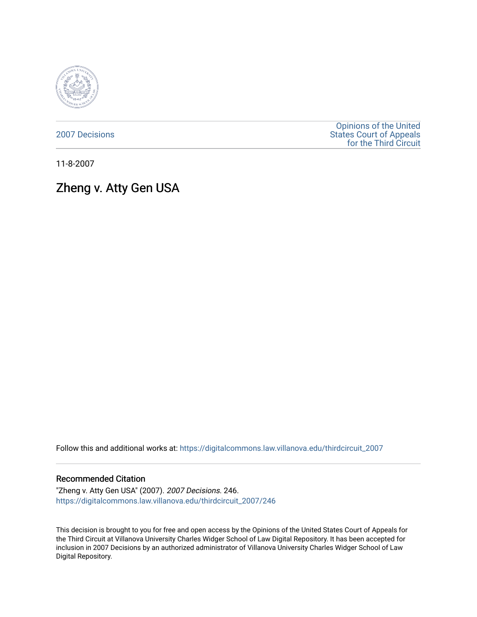

[2007 Decisions](https://digitalcommons.law.villanova.edu/thirdcircuit_2007)

[Opinions of the United](https://digitalcommons.law.villanova.edu/thirdcircuit)  [States Court of Appeals](https://digitalcommons.law.villanova.edu/thirdcircuit)  [for the Third Circuit](https://digitalcommons.law.villanova.edu/thirdcircuit) 

11-8-2007

# Zheng v. Atty Gen USA

Follow this and additional works at: [https://digitalcommons.law.villanova.edu/thirdcircuit\\_2007](https://digitalcommons.law.villanova.edu/thirdcircuit_2007?utm_source=digitalcommons.law.villanova.edu%2Fthirdcircuit_2007%2F246&utm_medium=PDF&utm_campaign=PDFCoverPages) 

#### Recommended Citation

"Zheng v. Atty Gen USA" (2007). 2007 Decisions. 246. [https://digitalcommons.law.villanova.edu/thirdcircuit\\_2007/246](https://digitalcommons.law.villanova.edu/thirdcircuit_2007/246?utm_source=digitalcommons.law.villanova.edu%2Fthirdcircuit_2007%2F246&utm_medium=PDF&utm_campaign=PDFCoverPages)

This decision is brought to you for free and open access by the Opinions of the United States Court of Appeals for the Third Circuit at Villanova University Charles Widger School of Law Digital Repository. It has been accepted for inclusion in 2007 Decisions by an authorized administrator of Villanova University Charles Widger School of Law Digital Repository.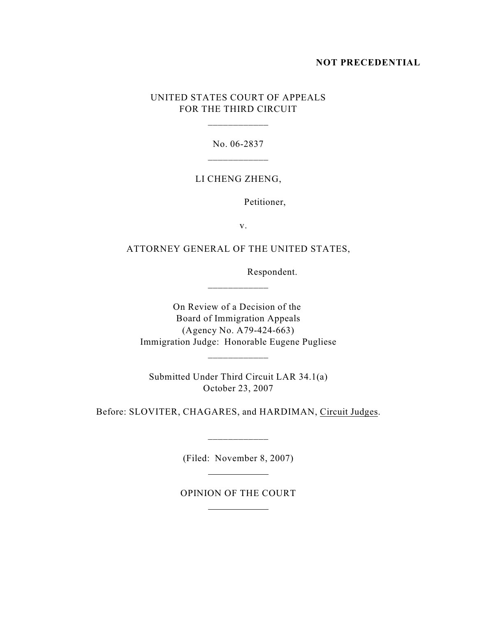### **NOT PRECEDENTIAL**

## UNITED STATES COURT OF APPEALS FOR THE THIRD CIRCUIT

No. 06-2837

\_\_\_\_\_\_\_\_\_\_\_\_

#### LI CHENG ZHENG,

Petitioner,

v.

ATTORNEY GENERAL OF THE UNITED STATES,

Respondent.

On Review of a Decision of the Board of Immigration Appeals (Agency No. A79-424-663) Immigration Judge: Honorable Eugene Pugliese

Submitted Under Third Circuit LAR 34.1(a) October 23, 2007

\_\_\_\_\_\_\_\_\_\_\_\_

Before: SLOVITER, CHAGARES, and HARDIMAN, Circuit Judges.

(Filed: November 8, 2007)

 $\overline{a}$ 

 $\overline{a}$ 

\_\_\_\_\_\_\_\_\_\_\_\_

OPINION OF THE COURT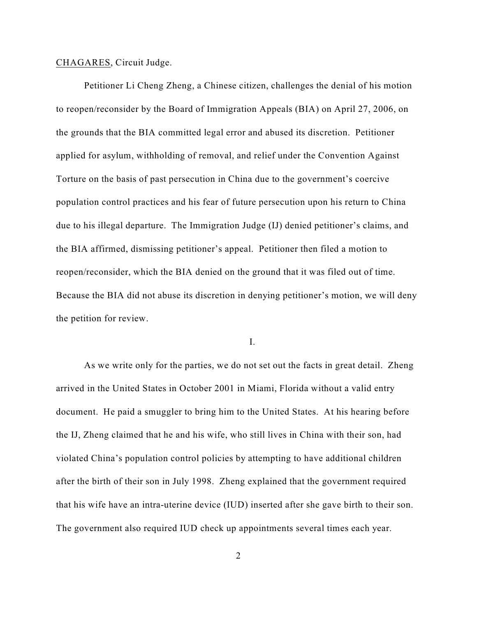#### CHAGARES, Circuit Judge.

Petitioner Li Cheng Zheng, a Chinese citizen, challenges the denial of his motion to reopen/reconsider by the Board of Immigration Appeals (BIA) on April 27, 2006, on the grounds that the BIA committed legal error and abused its discretion. Petitioner applied for asylum, withholding of removal, and relief under the Convention Against Torture on the basis of past persecution in China due to the government's coercive population control practices and his fear of future persecution upon his return to China due to his illegal departure. The Immigration Judge (IJ) denied petitioner's claims, and the BIA affirmed, dismissing petitioner's appeal. Petitioner then filed a motion to reopen/reconsider, which the BIA denied on the ground that it was filed out of time. Because the BIA did not abuse its discretion in denying petitioner's motion, we will deny the petition for review.

I.

As we write only for the parties, we do not set out the facts in great detail. Zheng arrived in the United States in October 2001 in Miami, Florida without a valid entry document. He paid a smuggler to bring him to the United States. At his hearing before the IJ, Zheng claimed that he and his wife, who still lives in China with their son, had violated China's population control policies by attempting to have additional children after the birth of their son in July 1998. Zheng explained that the government required that his wife have an intra-uterine device (IUD) inserted after she gave birth to their son. The government also required IUD check up appointments several times each year.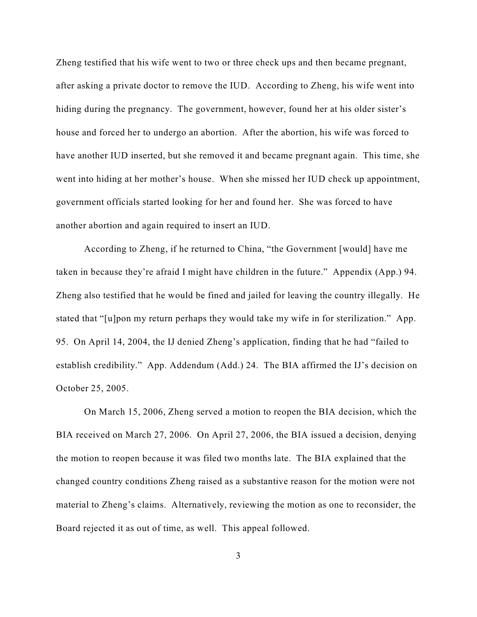Zheng testified that his wife went to two or three check ups and then became pregnant, after asking a private doctor to remove the IUD. According to Zheng, his wife went into hiding during the pregnancy. The government, however, found her at his older sister's house and forced her to undergo an abortion. After the abortion, his wife was forced to have another IUD inserted, but she removed it and became pregnant again. This time, she went into hiding at her mother's house. When she missed her IUD check up appointment, government officials started looking for her and found her. She was forced to have another abortion and again required to insert an IUD.

According to Zheng, if he returned to China, "the Government [would] have me taken in because they're afraid I might have children in the future." Appendix (App.) 94. Zheng also testified that he would be fined and jailed for leaving the country illegally. He stated that "[u]pon my return perhaps they would take my wife in for sterilization." App. 95. On April 14, 2004, the IJ denied Zheng's application, finding that he had "failed to establish credibility." App. Addendum (Add.) 24. The BIA affirmed the IJ's decision on October 25, 2005.

On March 15, 2006, Zheng served a motion to reopen the BIA decision, which the BIA received on March 27, 2006. On April 27, 2006, the BIA issued a decision, denying the motion to reopen because it was filed two months late. The BIA explained that the changed country conditions Zheng raised as a substantive reason for the motion were not material to Zheng's claims. Alternatively, reviewing the motion as one to reconsider, the Board rejected it as out of time, as well. This appeal followed.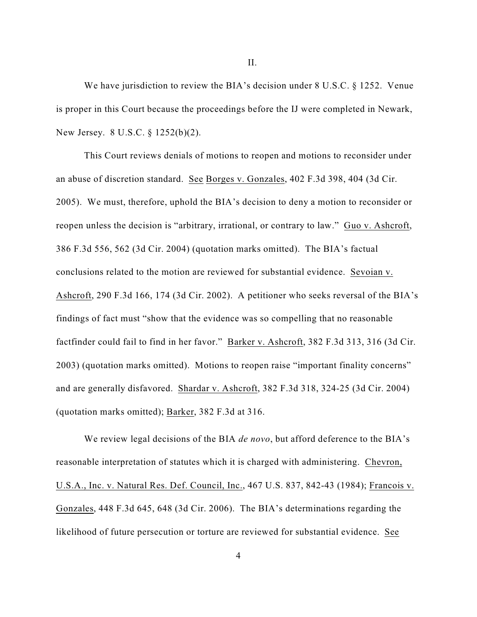We have jurisdiction to review the BIA's decision under 8 U.S.C. § 1252. Venue is proper in this Court because the proceedings before the IJ were completed in Newark, New Jersey. 8 U.S.C. § 1252(b)(2).

This Court reviews denials of motions to reopen and motions to reconsider under an abuse of discretion standard. See Borges v. Gonzales, 402 F.3d 398, 404 (3d Cir. 2005). We must, therefore, uphold the BIA's decision to deny a motion to reconsider or reopen unless the decision is "arbitrary, irrational, or contrary to law." Guo v. Ashcroft, 386 F.3d 556, 562 (3d Cir. 2004) (quotation marks omitted). The BIA's factual conclusions related to the motion are reviewed for substantial evidence. Sevoian v. Ashcroft, 290 F.3d 166, 174 (3d Cir. 2002). A petitioner who seeks reversal of the BIA's findings of fact must "show that the evidence was so compelling that no reasonable factfinder could fail to find in her favor." Barker v. Ashcroft, 382 F.3d 313, 316 (3d Cir. 2003) (quotation marks omitted). Motions to reopen raise "important finality concerns" and are generally disfavored. Shardar v. Ashcroft, 382 F.3d 318, 324-25 (3d Cir. 2004) (quotation marks omitted); Barker, 382 F.3d at 316.

We review legal decisions of the BIA *de novo*, but afford deference to the BIA's reasonable interpretation of statutes which it is charged with administering. Chevron, U.S.A., Inc. v. Natural Res. Def. Council, Inc., 467 U.S. 837, 842-43 (1984); Francois v. Gonzales, 448 F.3d 645, 648 (3d Cir. 2006). The BIA's determinations regarding the likelihood of future persecution or torture are reviewed for substantial evidence. See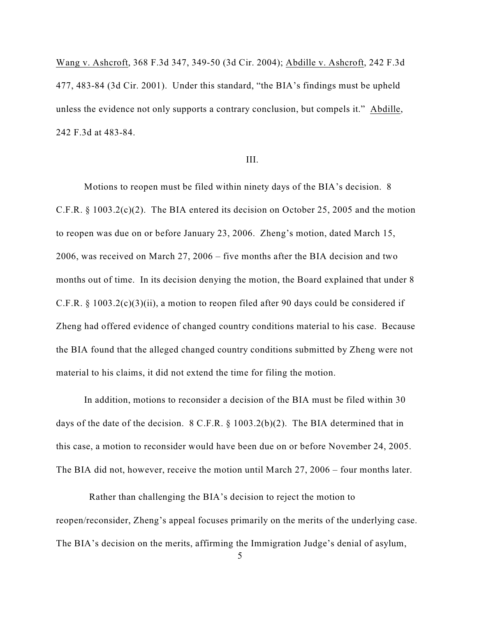Wang v. Ashcroft, 368 F.3d 347, 349-50 (3d Cir. 2004); Abdille v. Ashcroft, 242 F.3d 477, 483-84 (3d Cir. 2001). Under this standard, "the BIA's findings must be upheld unless the evidence not only supports a contrary conclusion, but compels it." Abdille, 242 F.3d at 483-84.

#### III.

Motions to reopen must be filed within ninety days of the BIA's decision. 8 C.F.R. § 1003.2(c)(2). The BIA entered its decision on October 25, 2005 and the motion to reopen was due on or before January 23, 2006. Zheng's motion, dated March 15, 2006, was received on March 27, 2006 – five months after the BIA decision and two months out of time. In its decision denying the motion, the Board explained that under 8 C.F.R. § 1003.2(c)(3)(ii), a motion to reopen filed after 90 days could be considered if Zheng had offered evidence of changed country conditions material to his case. Because the BIA found that the alleged changed country conditions submitted by Zheng were not material to his claims, it did not extend the time for filing the motion.

In addition, motions to reconsider a decision of the BIA must be filed within 30 days of the date of the decision. 8 C.F.R. § 1003.2(b)(2). The BIA determined that in this case, a motion to reconsider would have been due on or before November 24, 2005. The BIA did not, however, receive the motion until March 27, 2006 – four months later.

 Rather than challenging the BIA's decision to reject the motion to reopen/reconsider, Zheng's appeal focuses primarily on the merits of the underlying case. The BIA's decision on the merits, affirming the Immigration Judge's denial of asylum,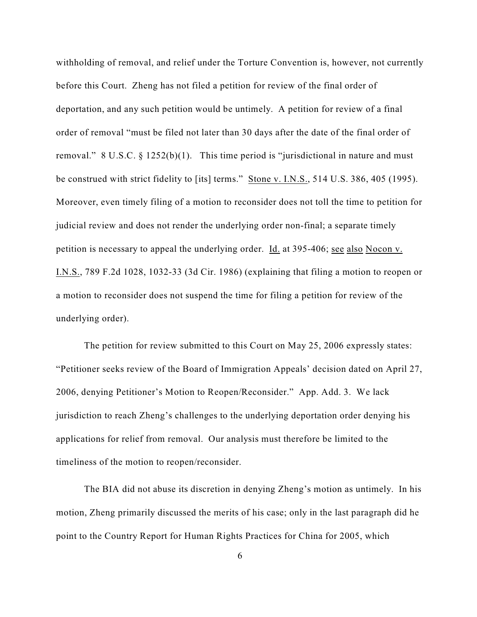withholding of removal, and relief under the Torture Convention is, however, not currently before this Court. Zheng has not filed a petition for review of the final order of deportation, and any such petition would be untimely. A petition for review of a final order of removal "must be filed not later than 30 days after the date of the final order of removal."  $8 \text{ U.S.C.} \$   $1252(b)(1)$ . This time period is "jurisdictional in nature and must be construed with strict fidelity to [its] terms." Stone v. I.N.S., 514 U.S. 386, 405 (1995). Moreover, even timely filing of a motion to reconsider does not toll the time to petition for judicial review and does not render the underlying order non-final; a separate timely petition is necessary to appeal the underlying order. Id. at 395-406; see also Nocon v. I.N.S., 789 F.2d 1028, 1032-33 (3d Cir. 1986) (explaining that filing a motion to reopen or a motion to reconsider does not suspend the time for filing a petition for review of the underlying order).

The petition for review submitted to this Court on May 25, 2006 expressly states: "Petitioner seeks review of the Board of Immigration Appeals' decision dated on April 27, 2006, denying Petitioner's Motion to Reopen/Reconsider." App. Add. 3. We lack jurisdiction to reach Zheng's challenges to the underlying deportation order denying his applications for relief from removal. Our analysis must therefore be limited to the timeliness of the motion to reopen/reconsider.

The BIA did not abuse its discretion in denying Zheng's motion as untimely. In his motion, Zheng primarily discussed the merits of his case; only in the last paragraph did he point to the Country Report for Human Rights Practices for China for 2005, which